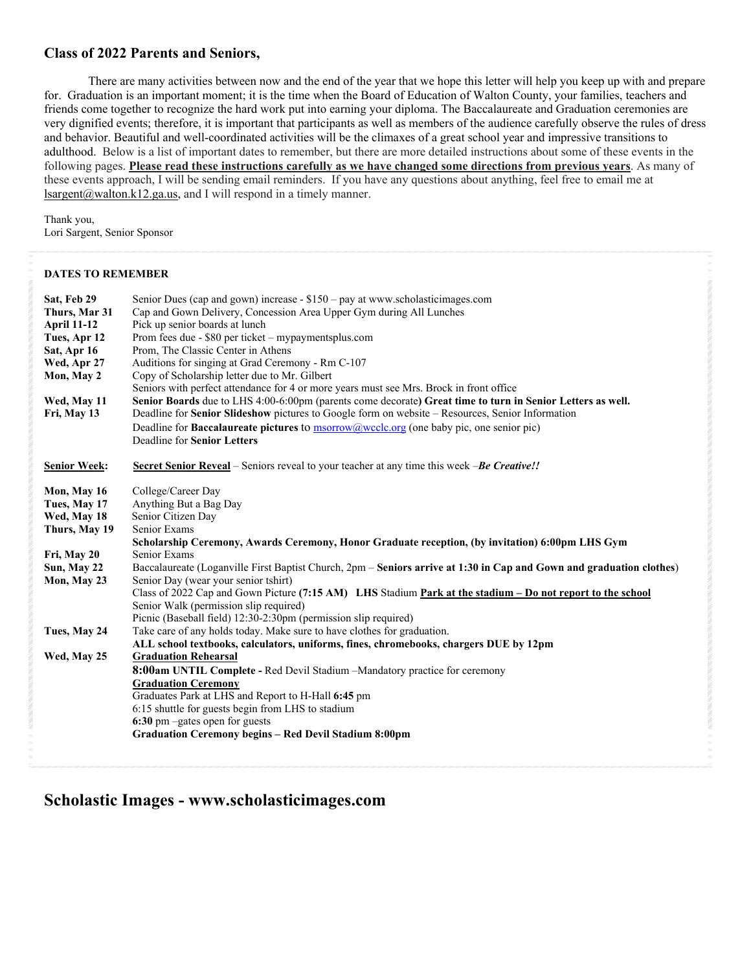## **Class of 2022 Parents and Seniors,**

There are many activities between now and the end of the year that we hope this letter will help you keep up with and prepare for. Graduation is an important moment; it is the time when the Board of Education of Walton County, your families, teachers and friends come together to recognize the hard work put into earning your diploma. The Baccalaureate and Graduation ceremonies are very dignified events; therefore, it is important that participants as well as members of the audience carefully observe the rules of dress and behavior. Beautiful and well-coordinated activities will be the climaxes of a great school year and impressive transitions to adulthood. Below is a list of important dates to remember, but there are more detailed instructions about some of these events in the following pages. **Please read these instructions carefully as we have changed some directions from previous years**. As many of these events approach, I will be sending email reminders. If you have any questions about anything, feel free to email me at lsargent@walton.k12.ga.us, and I will respond in a timely manner.

Thank you, Lori Sargent, Senior Sponsor

## **DATES TO REMEMBER**

| Sat, Feb 29<br>Thurs, Mar 31<br><b>April 11-12</b><br>Tues, Apr 12<br>Sat, Apr 16<br>Wed, Apr 27<br>Mon, May 2<br>Wed, May 11<br>Fri, May 13 | Senior Dues (cap and gown) increase $- $150 - pay$ at www.scholasticimages.com<br>Cap and Gown Delivery, Concession Area Upper Gym during All Lunches<br>Pick up senior boards at lunch<br>Prom fees due - \$80 per ticket – mypaymentsplus.com<br>Prom, The Classic Center in Athens<br>Auditions for singing at Grad Ceremony - Rm C-107<br>Copy of Scholarship letter due to Mr. Gilbert<br>Seniors with perfect attendance for 4 or more years must see Mrs. Brock in front office<br>Senior Boards due to LHS 4:00-6:00pm (parents come decorate) Great time to turn in Senior Letters as well.<br>Deadline for Senior Slideshow pictures to Google form on website - Resources, Senior Information<br>Deadline for <b>Baccalaureate pictures</b> to $\frac{m}{2}$ msorrow (a) we clear (one baby pic, one senior pic)<br>Deadline for Senior Letters                                                                                                                                                                                                          |
|----------------------------------------------------------------------------------------------------------------------------------------------|---------------------------------------------------------------------------------------------------------------------------------------------------------------------------------------------------------------------------------------------------------------------------------------------------------------------------------------------------------------------------------------------------------------------------------------------------------------------------------------------------------------------------------------------------------------------------------------------------------------------------------------------------------------------------------------------------------------------------------------------------------------------------------------------------------------------------------------------------------------------------------------------------------------------------------------------------------------------------------------------------------------------------------------------------------------------|
| <b>Senior Week:</b>                                                                                                                          | <b>Secret Senior Reveal</b> – Seniors reveal to your teacher at any time this week – <b>Be Creative!!</b>                                                                                                                                                                                                                                                                                                                                                                                                                                                                                                                                                                                                                                                                                                                                                                                                                                                                                                                                                           |
| Mon, May 16<br>Tues, May 17<br>Wed, May 18<br>Thurs, May 19<br>Fri, May 20<br>Sun, May 22<br>Mon, May 23<br>Tues, May 24<br>Wed, May 25      | College/Career Day<br>Anything But a Bag Day<br>Senior Citizen Day<br>Senior Exams<br>Scholarship Ceremony, Awards Ceremony, Honor Graduate reception, (by invitation) 6:00pm LHS Gym<br>Senior Exams<br>Baccalaureate (Loganville First Baptist Church, 2pm – Seniors arrive at 1:30 in Cap and Gown and graduation clothes)<br>Senior Day (wear your senior tshirt)<br>Class of 2022 Cap and Gown Picture (7:15 AM) LHS Stadium Park at the stadium - Do not report to the school<br>Senior Walk (permission slip required)<br>Picnic (Baseball field) 12:30-2:30pm (permission slip required)<br>Take care of any holds today. Make sure to have clothes for graduation.<br>ALL school textbooks, calculators, uniforms, fines, chromebooks, chargers DUE by 12pm<br><b>Graduation Rehearsal</b><br><b>8:00am UNTIL Complete - Red Devil Stadium -Mandatory practice for ceremony</b><br><b>Graduation Ceremony</b><br>Graduates Park at LHS and Report to H-Hall 6:45 pm<br>6:15 shuttle for guests begin from LHS to stadium<br>6:30 pm -gates open for guests |
|                                                                                                                                              | Graduation Ceremony begins - Red Devil Stadium 8:00pm                                                                                                                                                                                                                                                                                                                                                                                                                                                                                                                                                                                                                                                                                                                                                                                                                                                                                                                                                                                                               |
|                                                                                                                                              |                                                                                                                                                                                                                                                                                                                                                                                                                                                                                                                                                                                                                                                                                                                                                                                                                                                                                                                                                                                                                                                                     |

## **Scholastic Images - www.scholasticimages.com**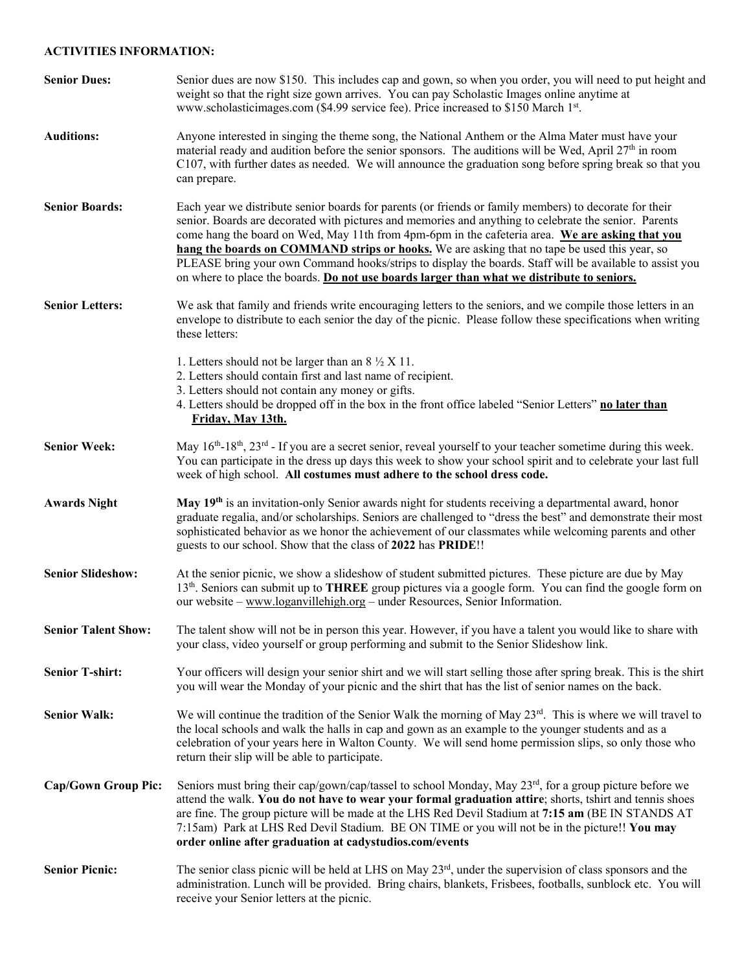## **ACTIVITIES INFORMATION:**

| <b>Senior Dues:</b>        | Senior dues are now \$150. This includes cap and gown, so when you order, you will need to put height and<br>weight so that the right size gown arrives. You can pay Scholastic Images online anytime at<br>www.scholasticimages.com (\$4.99 service fee). Price increased to \$150 March 1st.                                                                                                                                                                                                                                                                                                                              |  |
|----------------------------|-----------------------------------------------------------------------------------------------------------------------------------------------------------------------------------------------------------------------------------------------------------------------------------------------------------------------------------------------------------------------------------------------------------------------------------------------------------------------------------------------------------------------------------------------------------------------------------------------------------------------------|--|
| <b>Auditions:</b>          | Anyone interested in singing the theme song, the National Anthem or the Alma Mater must have your<br>material ready and audition before the senior sponsors. The auditions will be Wed, April $27th$ in room<br>C107, with further dates as needed. We will announce the graduation song before spring break so that you<br>can prepare.                                                                                                                                                                                                                                                                                    |  |
| <b>Senior Boards:</b>      | Each year we distribute senior boards for parents (or friends or family members) to decorate for their<br>senior. Boards are decorated with pictures and memories and anything to celebrate the senior. Parents<br>come hang the board on Wed, May 11th from 4pm-6pm in the cafeteria area. We are asking that you<br>hang the boards on COMMAND strips or hooks. We are asking that no tape be used this year, so<br>PLEASE bring your own Command hooks/strips to display the boards. Staff will be available to assist you<br>on where to place the boards. Do not use boards larger than what we distribute to seniors. |  |
| <b>Senior Letters:</b>     | We ask that family and friends write encouraging letters to the seniors, and we compile those letters in an<br>envelope to distribute to each senior the day of the picnic. Please follow these specifications when writing<br>these letters:                                                                                                                                                                                                                                                                                                                                                                               |  |
|                            | 1. Letters should not be larger than an $8\frac{1}{2}$ X 11.<br>2. Letters should contain first and last name of recipient.<br>3. Letters should not contain any money or gifts.<br>4. Letters should be dropped off in the box in the front office labeled "Senior Letters" no later than<br>Friday, May 13th.                                                                                                                                                                                                                                                                                                             |  |
| <b>Senior Week:</b>        | May 16 <sup>th</sup> -18 <sup>th</sup> , 23 <sup>rd</sup> - If you are a secret senior, reveal yourself to your teacher sometime during this week.<br>You can participate in the dress up days this week to show your school spirit and to celebrate your last full<br>week of high school. All costumes must adhere to the school dress code.                                                                                                                                                                                                                                                                              |  |
| <b>Awards Night</b>        | May 19 <sup>th</sup> is an invitation-only Senior awards night for students receiving a departmental award, honor<br>graduate regalia, and/or scholarships. Seniors are challenged to "dress the best" and demonstrate their most<br>sophisticated behavior as we honor the achievement of our classmates while welcoming parents and other<br>guests to our school. Show that the class of 2022 has PRIDE!!                                                                                                                                                                                                                |  |
| <b>Senior Slideshow:</b>   | At the senior picnic, we show a slideshow of student submitted pictures. These picture are due by May<br>13 <sup>th</sup> . Seniors can submit up to THREE group pictures via a google form. You can find the google form on<br>our website - www.loganvillehigh.org - under Resources, Senior Information.                                                                                                                                                                                                                                                                                                                 |  |
| <b>Senior Talent Show:</b> | The talent show will not be in person this year. However, if you have a talent you would like to share with<br>your class, video yourself or group performing and submit to the Senior Slideshow link.                                                                                                                                                                                                                                                                                                                                                                                                                      |  |
| <b>Senior T-shirt:</b>     | Your officers will design your senior shirt and we will start selling those after spring break. This is the shirt<br>you will wear the Monday of your picnic and the shirt that has the list of senior names on the back.                                                                                                                                                                                                                                                                                                                                                                                                   |  |
| <b>Senior Walk:</b>        | We will continue the tradition of the Senior Walk the morning of May 23rd. This is where we will travel to<br>the local schools and walk the halls in cap and gown as an example to the younger students and as a<br>celebration of your years here in Walton County. We will send home permission slips, so only those who<br>return their slip will be able to participate.                                                                                                                                                                                                                                               |  |
| <b>Cap/Gown Group Pic:</b> | Seniors must bring their cap/gown/cap/tassel to school Monday, May $23^{rd}$ , for a group picture before we<br>attend the walk. You do not have to wear your formal graduation attire; shorts, tshirt and tennis shoes<br>are fine. The group picture will be made at the LHS Red Devil Stadium at 7:15 am (BE IN STANDS AT<br>7:15am) Park at LHS Red Devil Stadium. BE ON TIME or you will not be in the picture!! You may<br>order online after graduation at cadystudios.com/events                                                                                                                                    |  |
| <b>Senior Picnic:</b>      | The senior class picnic will be held at LHS on May $23rd$ , under the supervision of class sponsors and the<br>administration. Lunch will be provided. Bring chairs, blankets, Frisbees, footballs, sunblock etc. You will<br>receive your Senior letters at the picnic.                                                                                                                                                                                                                                                                                                                                                    |  |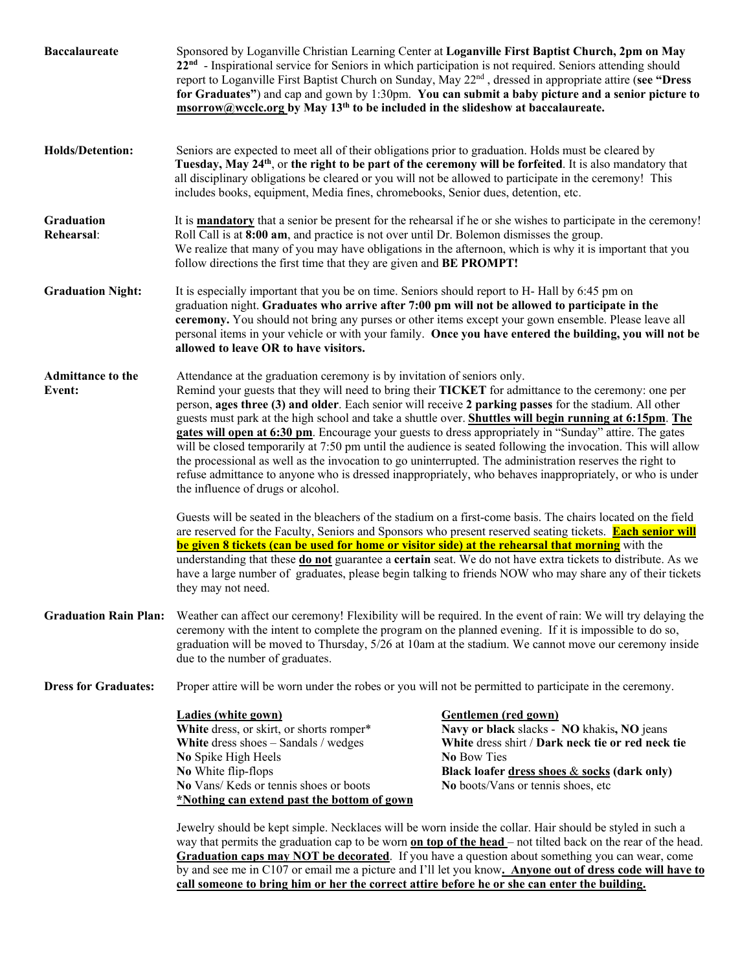| <b>Baccalaureate</b>               | Sponsored by Loganville Christian Learning Center at Loganville First Baptist Church, 2pm on May<br>22 <sup>nd</sup> - Inspirational service for Seniors in which participation is not required. Seniors attending should<br>report to Loganville First Baptist Church on Sunday, May 22 <sup>nd</sup> , dressed in appropriate attire (see "Dress<br>for Graduates") and cap and gown by 1:30pm. You can submit a baby picture and a senior picture to<br>msorrow@wcclc.org by May 13 <sup>th</sup> to be included in the slideshow at baccalaureate.                                                                                                                                                                                                                                                                                                                                                                                                                                                                                                                                                                                                                                                                                                                                                                                                                                                                                                                         |                                                                                                                                                                                                                                                                                                                                                                                                                                                                                                                                                             |  |
|------------------------------------|--------------------------------------------------------------------------------------------------------------------------------------------------------------------------------------------------------------------------------------------------------------------------------------------------------------------------------------------------------------------------------------------------------------------------------------------------------------------------------------------------------------------------------------------------------------------------------------------------------------------------------------------------------------------------------------------------------------------------------------------------------------------------------------------------------------------------------------------------------------------------------------------------------------------------------------------------------------------------------------------------------------------------------------------------------------------------------------------------------------------------------------------------------------------------------------------------------------------------------------------------------------------------------------------------------------------------------------------------------------------------------------------------------------------------------------------------------------------------------|-------------------------------------------------------------------------------------------------------------------------------------------------------------------------------------------------------------------------------------------------------------------------------------------------------------------------------------------------------------------------------------------------------------------------------------------------------------------------------------------------------------------------------------------------------------|--|
| <b>Holds/Detention:</b>            | Seniors are expected to meet all of their obligations prior to graduation. Holds must be cleared by<br>Tuesday, May 24 <sup>th</sup> , or the right to be part of the ceremony will be forfeited. It is also mandatory that<br>all disciplinary obligations be cleared or you will not be allowed to participate in the ceremony! This<br>includes books, equipment, Media fines, chromebooks, Senior dues, detention, etc.                                                                                                                                                                                                                                                                                                                                                                                                                                                                                                                                                                                                                                                                                                                                                                                                                                                                                                                                                                                                                                                    |                                                                                                                                                                                                                                                                                                                                                                                                                                                                                                                                                             |  |
| Graduation<br>Rehearsal:           | It is <b>mandatory</b> that a senior be present for the rehearsal if he or she wishes to participate in the ceremony!<br>Roll Call is at 8:00 am, and practice is not over until Dr. Bolemon dismisses the group.<br>We realize that many of you may have obligations in the afternoon, which is why it is important that you<br>follow directions the first time that they are given and BE PROMPT!                                                                                                                                                                                                                                                                                                                                                                                                                                                                                                                                                                                                                                                                                                                                                                                                                                                                                                                                                                                                                                                                           |                                                                                                                                                                                                                                                                                                                                                                                                                                                                                                                                                             |  |
| <b>Graduation Night:</b>           | It is especially important that you be on time. Seniors should report to H- Hall by 6:45 pm on<br>graduation night. Graduates who arrive after 7:00 pm will not be allowed to participate in the<br>ceremony. You should not bring any purses or other items except your gown ensemble. Please leave all<br>personal items in your vehicle or with your family. Once you have entered the building, you will not be<br>allowed to leave OR to have visitors.                                                                                                                                                                                                                                                                                                                                                                                                                                                                                                                                                                                                                                                                                                                                                                                                                                                                                                                                                                                                                   |                                                                                                                                                                                                                                                                                                                                                                                                                                                                                                                                                             |  |
| <b>Admittance to the</b><br>Event: | Attendance at the graduation ceremony is by invitation of seniors only.<br>Remind your guests that they will need to bring their TICKET for admittance to the ceremony: one per<br>person, ages three (3) and older. Each senior will receive 2 parking passes for the stadium. All other<br>guests must park at the high school and take a shuttle over. Shuttles will begin running at 6:15pm. The<br>gates will open at 6:30 pm. Encourage your guests to dress appropriately in "Sunday" attire. The gates<br>will be closed temporarily at 7:50 pm until the audience is seated following the invocation. This will allow<br>the processional as well as the invocation to go uninterrupted. The administration reserves the right to<br>refuse admittance to anyone who is dressed inappropriately, who behaves inappropriately, or who is under<br>the influence of drugs or alcohol.<br>Guests will be seated in the bleachers of the stadium on a first-come basis. The chairs located on the field<br>are reserved for the Faculty, Seniors and Sponsors who present reserved seating tickets. Each senior will<br>be given 8 tickets (can be used for home or visitor side) at the rehearsal that morning with the<br>understanding that these do not guarantee a certain seat. We do not have extra tickets to distribute. As we<br>have a large number of graduates, please begin talking to friends NOW who may share any of their tickets<br>they may not need. |                                                                                                                                                                                                                                                                                                                                                                                                                                                                                                                                                             |  |
| <b>Graduation Rain Plan:</b>       | Weather can affect our ceremony! Flexibility will be required. In the event of rain: We will try delaying the<br>ceremony with the intent to complete the program on the planned evening. If it is impossible to do so,<br>graduation will be moved to Thursday, 5/26 at 10am at the stadium. We cannot move our ceremony inside<br>due to the number of graduates.                                                                                                                                                                                                                                                                                                                                                                                                                                                                                                                                                                                                                                                                                                                                                                                                                                                                                                                                                                                                                                                                                                            |                                                                                                                                                                                                                                                                                                                                                                                                                                                                                                                                                             |  |
| <b>Dress for Graduates:</b>        | Proper attire will be worn under the robes or you will not be permitted to participate in the ceremony.                                                                                                                                                                                                                                                                                                                                                                                                                                                                                                                                                                                                                                                                                                                                                                                                                                                                                                                                                                                                                                                                                                                                                                                                                                                                                                                                                                        |                                                                                                                                                                                                                                                                                                                                                                                                                                                                                                                                                             |  |
|                                    | <b>Ladies (white gown)</b><br>White dress, or skirt, or shorts romper*<br>White dress shoes - Sandals / wedges<br>No Spike High Heels<br>No White flip-flops<br>No Vans/ Keds or tennis shoes or boots<br>*Nothing can extend past the bottom of gown<br>Jewelry should be kept simple. Necklaces will be worn inside the collar. Hair should be styled in such a                                                                                                                                                                                                                                                                                                                                                                                                                                                                                                                                                                                                                                                                                                                                                                                                                                                                                                                                                                                                                                                                                                              | Gentlemen (red gown)<br>Navy or black slacks - NO khakis, NO jeans<br>White dress shirt / Dark neck tie or red neck tie<br>No Bow Ties<br>Black loafer dress shoes & socks (dark only)<br>No boots/Vans or tennis shoes, etc<br>way that permits the graduation cap to be worn on top of the head – not tilted back on the rear of the head.<br>Graduation caps may NOT be decorated. If you have a question about something you can wear, come<br>by and see me in C107 or email me a picture and I'll let you know. Anyone out of dress code will have to |  |

**call someone to bring him or her the correct attire before he or she can enter the building.**